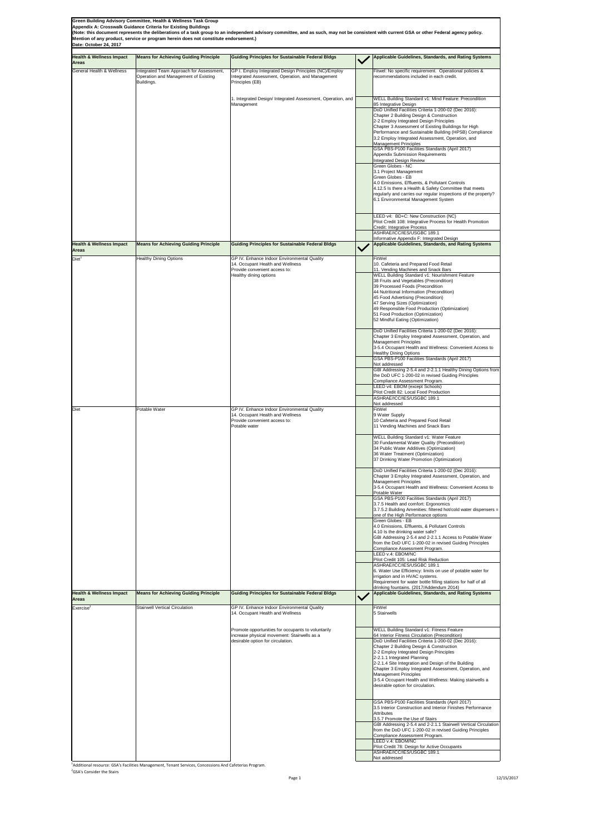**Green Building Advisory Committee, Health & Wellness Task Group**

**Appendix A: Crosswalk Guidance Criteria for Existing Buildings**

**Date: October 24, 2017**

Compliance Assessment Program. LEED v.4: EBOM/NC Pilot Credit 78: Design for Active Occupants ASHRAE/ICC/IES/USGBC 189.1 Not addressed

<sup>1</sup>Additional resource: GSA's Facilities Management, Tenant Services, Concessions And Cafeterias Program. <sup>2</sup>GSA's Consider the Stairs

Page 1 12/15/2017

| <b>Health &amp; Wellness Impact</b><br><b>Areas</b> | <b>Means for Achieving Guiding Principle</b>                                                   | <b>Guiding Principles for Sustainable Federal Bldgs</b>                                                                                                                                                                   | Applicable Guidelines, Standards, and Rating Systems                                                                                                                                                                                                                                                                                                                                                                                                                                                                                                                                                                                                                                                                                                                                                                                                                                                                                                                                                                                                                   |
|-----------------------------------------------------|------------------------------------------------------------------------------------------------|---------------------------------------------------------------------------------------------------------------------------------------------------------------------------------------------------------------------------|------------------------------------------------------------------------------------------------------------------------------------------------------------------------------------------------------------------------------------------------------------------------------------------------------------------------------------------------------------------------------------------------------------------------------------------------------------------------------------------------------------------------------------------------------------------------------------------------------------------------------------------------------------------------------------------------------------------------------------------------------------------------------------------------------------------------------------------------------------------------------------------------------------------------------------------------------------------------------------------------------------------------------------------------------------------------|
| <b>General Health &amp; Wellness</b>                | Integrated Team Approach for Assessment,<br>Operation and Management of Existing<br>Buildings. | GP I. Employ Integrated Design Principles (NC)/Employ<br>Integrated Assessment, Operation, and Management<br>Principles (EB)                                                                                              | Fitwel: No specific requirement. Operational policies &<br>recommendations included in each credit.                                                                                                                                                                                                                                                                                                                                                                                                                                                                                                                                                                                                                                                                                                                                                                                                                                                                                                                                                                    |
|                                                     |                                                                                                | 1. Integrated Design/ Integrated Assessment, Operation, and<br>Management                                                                                                                                                 | <b>WELL Building Standard v1: Mind Feature: Precondition</b><br>85 Integrative Design                                                                                                                                                                                                                                                                                                                                                                                                                                                                                                                                                                                                                                                                                                                                                                                                                                                                                                                                                                                  |
|                                                     |                                                                                                |                                                                                                                                                                                                                           | DoD Unified Facilities Criteria 1-200-02 (Dec 2016):<br>Chapter 2 Building Design & Construction<br>2-2 Employ Integrated Design Principles<br>Chapter 3 Assessment of Existing Buildings for High<br>Performance and Sustainable Building (HPSB) Compliance<br>3.2 Employ Integrated Assessment, Operation, and<br><b>Management Principles</b>                                                                                                                                                                                                                                                                                                                                                                                                                                                                                                                                                                                                                                                                                                                       |
|                                                     |                                                                                                |                                                                                                                                                                                                                           | GSA PBS-P100 Facilities Standards (April 2017)<br>Appendix Submission Requirements<br>Integrated Design Review<br><b>Green Globes - NC</b><br>3.1 Project Management<br>Green Globes - EB<br>4.0 Emissions, Effluents, & Pollutant Controls<br>4.12.5 Is there a Health & Safety Committee that meets<br>regularly and carries our regular inspections of the property?<br>6.1 Environmental Management System                                                                                                                                                                                                                                                                                                                                                                                                                                                                                                                                                                                                                                                         |
|                                                     |                                                                                                |                                                                                                                                                                                                                           | LEED v4: BD+C: New Construction (NC)<br>Pilot Credit 108: Integrative Process for Health Promotion<br>Credit: Integrative Process<br>ASHRAE/ICC/IES/USGBC 189.1                                                                                                                                                                                                                                                                                                                                                                                                                                                                                                                                                                                                                                                                                                                                                                                                                                                                                                        |
| <b>Health &amp; Wellness Impact</b><br><b>Areas</b> | <b>Means for Achieving Guiding Principle</b>                                                   | <b>Guiding Principles for Sustainable Federal Bldgs</b>                                                                                                                                                                   | Informative Appendix F: Integrated Design<br><b>Applicable Guidelines, Standards, and Rating Systems</b>                                                                                                                                                                                                                                                                                                                                                                                                                                                                                                                                                                                                                                                                                                                                                                                                                                                                                                                                                               |
| Diet <sup>1</sup>                                   | <b>Healthy Dining Options</b>                                                                  | GP IV. Enhance Indoor Environmental Quality<br>14. Occupant Health and Wellness<br>Provide convenient access to:<br>Healthy dining options                                                                                | FitWel<br>10. Cafeteria and Prepared Food Retail<br>11. Vending Machines and Snack Bars<br>WELL Building Standard v1: Nourishment Feature<br>38 Fruits and Vegetables (Precondition)<br>39 Processed Foods (Precondition<br>44 Nutritional Information (Precondition)<br>45 Food Advertising (Precondition)<br>47 Serving Sizes (Optimization)<br>49 Responsible Food Production (Optimization)<br>51 Food Production (Optimization)<br>52 Mindful Eating (Optimization)<br>DoD Unified Facilities Criteria 1-200-02 (Dec 2016):<br>Chapter 3 Employ Integrated Assessment, Operation, and<br>Management Principles<br>3-5.4 Occupant Health and Wellness: Convenient Access to<br><b>Healthy Dining Options</b><br>GSA PBS-P100 Facilities Standards (April 2017)<br>Not addressed<br>GBI Addressing 2-5.4 and 2-2.1.1 Healthy Dining Options from<br>the DoD UFC 1-200-02 in revised Guiding Principles<br>Compliance Assessment Program.<br>LEED v4: EBOM (except Schools)<br>Pilot Credit 82: Local Food Production<br>ASHRAE/ICC/IES/USGBC 189.1<br>Not addressed |
| Diet                                                | Potable Water                                                                                  | GP IV. Enhance Indoor Environmental Quality<br>14. Occupant Health and Wellness<br>Provide convenient access to:<br>Potable water                                                                                         | FitWel<br>9 Water Supply<br>10 Cafeteria and Prepared Food Retail<br>11 Vending Machines and Snack Bars<br><b>WELL Building Standard v1: Water Feature</b><br>30 Fundamental Water Quality (Precondition)<br>34 Public Water Additives (Optimization)<br>36 Water Treatment (Optimization)<br>37 Drinking Water Promotion (Optimization)<br>DoD Unified Facilities Criteria 1-200-02 (Dec 2016):<br>Chapter 3 Employ Integrated Assessment, Operation, and<br><b>Management Principles</b><br>3-5.4 Occupant Health and Wellness: Convenient Access to<br>Potable Water<br>GSA PBS-P100 Facilities Standards (April 2017)<br>3.7.5 Health and comfort: Ergonomics<br>3.7.5.2 Building Amenities: filtered hot/cold water dispensers =                                                                                                                                                                                                                                                                                                                                  |
|                                                     |                                                                                                |                                                                                                                                                                                                                           | one of the High Performance options<br>Green Globes - EB<br>4.0 Emissions, Effluents, & Pollutant Controls<br>4.10 Is the drinking water safe?<br>GBI Addressing 2-5.4 and 2-2.1.1 Access to Potable Water<br>from the DoD UFC 1-200-02 in revised Guiding Principles<br>Compliance Assessment Program.<br>LEED v.4: EBOM/NC<br>Pilot Credit 105: Lead Risk Reduction<br>ASHRAE/ICC/IES/USGBC 189.1<br>6. Water Use Efficiency: limits on use of potable water for<br>lirrigation and in HVAC systems.<br>Requirement for water bottle filling stations for half of all<br>drinking fountains. (2017/Addendum 2014)                                                                                                                                                                                                                                                                                                                                                                                                                                                    |
| <b>Health &amp; Wellness Impact</b><br><b>Areas</b> | <b>Means for Achieving Guiding Principle</b>                                                   | <b>Guiding Principles for Sustainable Federal Bldgs</b>                                                                                                                                                                   | <b>Applicable Guidelines, Standards, and Rating Systems</b>                                                                                                                                                                                                                                                                                                                                                                                                                                                                                                                                                                                                                                                                                                                                                                                                                                                                                                                                                                                                            |
| $\mathsf{Exercise}^2$                               | <b>Stairwell Vertical Circulation</b>                                                          | GP IV. Enhance Indoor Environmental Quality<br>14. Occupant Health and Wellness<br>Promote opportunities for occupants to voluntarily<br>increase physical movement: Stairwells as a<br>desirable option for circulation. | FitWel<br>5 Stairwells<br><b>WELL Building Standard v1: Fitness Feature</b><br>64 Interior Fitness Circulation (Precondition)<br>DoD Unified Facilities Criteria 1-200-02 (Dec 2016):<br>Chapter 2 Building Design & Construction<br>2-2 Employ Integrated Design Principles<br>2-2.1.1 Integrated Planning<br>2-2.1.4 Site Integration and Design of the Building<br>Chapter 3 Employ Integrated Assessment, Operation, and<br>Management Principles<br>3-5.4 Occupant Health and Wellness: Making stairwells a<br>desirable option for circulation.                                                                                                                                                                                                                                                                                                                                                                                                                                                                                                                  |
|                                                     |                                                                                                |                                                                                                                                                                                                                           | <b>GSA PBS-P100 Facilities Standards (April 2017)</b><br>3.5 Interior Construction and Interior Finishes Performance<br>Attributes<br>3.5.7 Promote the Use of Stairs<br>GBI Addressing 2-5.4 and 2-2.1.1 Stairwell Vertical Circulation<br>from the DoD UFC 1-200-02 in revised Guiding Principles                                                                                                                                                                                                                                                                                                                                                                                                                                                                                                                                                                                                                                                                                                                                                                    |



**(Note: this document represents the deliberations of a task group to an independent advisory committee, and as such, may not be consistent with current GSA or other Federal agency policy. Mention of any product, service or program herein does not constitute endorsement.)**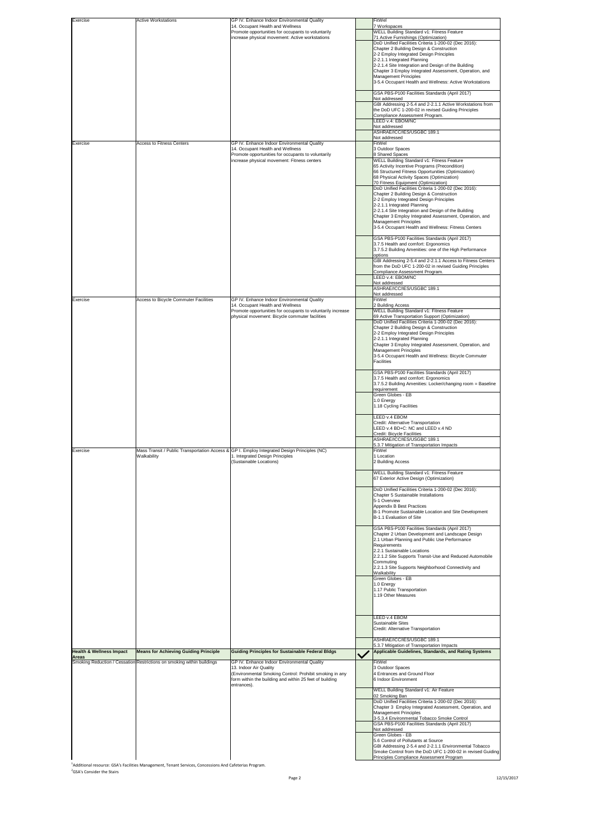| Exercise                            | <b>Active Workstations</b>                                             | GP IV. Enhance Indoor Environmental Quality                                                                                                                 | FitWel                                                                                                                                                                                                 |
|-------------------------------------|------------------------------------------------------------------------|-------------------------------------------------------------------------------------------------------------------------------------------------------------|--------------------------------------------------------------------------------------------------------------------------------------------------------------------------------------------------------|
|                                     |                                                                        | 14. Occupant Health and Wellness<br>Promote opportunities for occupants to voluntarily<br>increase physical movement: Active workstations                   | 7 Workspaces<br><b>WELL Building Standard v1: Fitness Feature</b><br>71 Active Furnishings (Optimization)                                                                                              |
|                                     |                                                                        |                                                                                                                                                             | DoD Unified Facilities Criteria 1-200-02 (Dec 2016):<br>Chapter 2 Building Design & Construction                                                                                                       |
|                                     |                                                                        |                                                                                                                                                             | 2-2 Employ Integrated Design Principles                                                                                                                                                                |
|                                     |                                                                        |                                                                                                                                                             | 2-2.1.1 Integrated Planning<br>2-2.1.4 Site Integration and Design of the Building                                                                                                                     |
|                                     |                                                                        |                                                                                                                                                             | Chapter 3 Employ Integrated Assessment, Operation, and<br><b>Management Principles</b>                                                                                                                 |
|                                     |                                                                        |                                                                                                                                                             | 3-5.4 Occupant Health and Wellness: Active Workstations                                                                                                                                                |
|                                     |                                                                        |                                                                                                                                                             | GSA PBS-P100 Facilities Standards (April 2017)<br>Not addressed                                                                                                                                        |
|                                     |                                                                        |                                                                                                                                                             | GBI Addressing 2-5.4 and 2-2.1.1 Active Workstations from<br>the DoD UFC 1-200-02 in revised Guiding Principles                                                                                        |
|                                     |                                                                        |                                                                                                                                                             | Compliance Assessment Program.<br>LEED v.4: EBOM/NC                                                                                                                                                    |
|                                     |                                                                        |                                                                                                                                                             | Not addressed<br>ASHRAE/ICC/IES/USGBC 189.1                                                                                                                                                            |
| Exercise                            | <b>Access to Fitness Centers</b>                                       | GP IV. Enhance Indoor Environmental Quality                                                                                                                 | Not addressed<br>FitWel                                                                                                                                                                                |
|                                     |                                                                        | 14. Occupant Health and Wellness<br>Promote opportunities for occupants to voluntarily                                                                      | 3 Outdoor Spaces<br>8 Shared Spaces                                                                                                                                                                    |
|                                     |                                                                        | increase physical movement: Fitness centers                                                                                                                 | <b>WELL Building Standard v1: Fitness Feature</b><br>65 Activity Incentive Programs (Precondition)<br>66 Structured Fitness Opportunities (Optimization)<br>68 Physical Activity Spaces (Optimization) |
|                                     |                                                                        |                                                                                                                                                             | 70 Fitness Equipment (Optimization)<br>DoD Unified Facilities Criteria 1-200-02 (Dec 2016):                                                                                                            |
|                                     |                                                                        |                                                                                                                                                             | Chapter 2 Building Design & Construction<br>2-2 Employ Integrated Design Principles                                                                                                                    |
|                                     |                                                                        |                                                                                                                                                             | 2-2.1.1 Integrated Planning<br>2-2.1.4 Site Integration and Design of the Building                                                                                                                     |
|                                     |                                                                        |                                                                                                                                                             | Chapter 3 Employ Integrated Assessment, Operation, and<br>Management Principles<br>3-5.4 Occupant Health and Wellness: Fitness Centers                                                                 |
|                                     |                                                                        |                                                                                                                                                             | <b>GSA PBS-P100 Facilities Standards (April 2017)</b><br>3.7.5 Health and comfort: Ergonomics<br>3.7.5.2 Building Amenities: one of the High Performance                                               |
|                                     |                                                                        |                                                                                                                                                             | options<br>GBI Addressing 2-5.4 and 2-2.1.1 Access to Fitness Centers<br>from the DoD UFC 1-200-02 in revised Guiding Principles                                                                       |
|                                     |                                                                        |                                                                                                                                                             | Compliance Assessment Program.                                                                                                                                                                         |
|                                     |                                                                        |                                                                                                                                                             | LEED v.4: EBOM/NC<br>Not addressed<br>ASHRAE/ICC/IES/USGBC 189.1                                                                                                                                       |
| Exercise                            | <b>Access to Bicycle Commuter Facilities</b>                           | GP IV. Enhance Indoor Environmental Quality                                                                                                                 | Not addressed<br>FitWel                                                                                                                                                                                |
|                                     |                                                                        | 14. Occupant Health and Wellness                                                                                                                            | 2 Building Access<br><b>WELL Building Standard v1: Fitness Feature</b>                                                                                                                                 |
|                                     |                                                                        | Promote opportunities for occupants to voluntarily increase<br>physical movement: Bicycle commuter facilities                                               | 69 Active Transportation Support (Optimization)<br>DoD Unified Facilities Criteria 1-200-02 (Dec 2016):                                                                                                |
|                                     |                                                                        |                                                                                                                                                             | Chapter 2 Building Design & Construction                                                                                                                                                               |
|                                     |                                                                        |                                                                                                                                                             | 2-2 Employ Integrated Design Principles<br>2-2.1.1 Integrated Planning                                                                                                                                 |
|                                     |                                                                        |                                                                                                                                                             | Chapter 3 Employ Integrated Assessment, Operation, and<br><b>Management Principles</b>                                                                                                                 |
|                                     |                                                                        |                                                                                                                                                             | 3-5.4 Occupant Health and Wellness: Bicycle Commuter<br><b>Facilities</b>                                                                                                                              |
|                                     |                                                                        |                                                                                                                                                             | <b>GSA PBS-P100 Facilities Standards (April 2017)</b><br>3.7.5 Health and comfort: Ergonomics<br>3.7.5.2 Building Amenities: Locker/changing room = Baseline                                           |
|                                     |                                                                        |                                                                                                                                                             | requirement<br><b>Green Globes - EB</b><br>1.0 Energy<br>1.18 Cycling Facilities                                                                                                                       |
|                                     |                                                                        |                                                                                                                                                             | LEED v.4 EBOM                                                                                                                                                                                          |
|                                     |                                                                        |                                                                                                                                                             | Credit: Alternative Transportation<br>LEED v.4 BD+C: NC and LEED v.4 ND                                                                                                                                |
|                                     |                                                                        |                                                                                                                                                             | Credit: Bicycle Facilities<br>ASHRAE/ICC/IES/USGBC 189.1                                                                                                                                               |
| Exercise                            |                                                                        | Mass Transit / Public Transportation Access & GP I. Employ Integrated Design Principles (NC)                                                                | 5.3.7 Mitigation of Transportation Impacts<br>FitWel                                                                                                                                                   |
|                                     | Walkability                                                            | 1. Integrated Design Principles<br>(Sustainable Locations)                                                                                                  | 1 Location<br>2 Building Access                                                                                                                                                                        |
|                                     |                                                                        |                                                                                                                                                             | <b>WELL Building Standard v1: Fitness Feature</b><br>67 Exterior Active Design (Optimization)                                                                                                          |
|                                     |                                                                        |                                                                                                                                                             | DoD Unified Facilities Criteria 1-200-02 (Dec 2016):<br>Chapter 5 Sustainable Installations                                                                                                            |
|                                     |                                                                        |                                                                                                                                                             | 5-1 Overview<br>Appendix B Best Practices                                                                                                                                                              |
|                                     |                                                                        |                                                                                                                                                             | B-1 Promote Sustainable Location and Site Development<br>B-1.1 Evaluation of Site                                                                                                                      |
|                                     |                                                                        |                                                                                                                                                             | <b>GSA PBS-P100 Facilities Standards (April 2017)</b>                                                                                                                                                  |
|                                     |                                                                        |                                                                                                                                                             | Chapter 2 Urban Development and Landscape Design<br>2.1 Urban Planning and Public Use Performance                                                                                                      |
|                                     |                                                                        |                                                                                                                                                             | Requirements<br>2.2.1 Sustainable Locations                                                                                                                                                            |
|                                     |                                                                        |                                                                                                                                                             | 2.2.1.2 Site Supports Transit-Use and Reduced Automobile<br>Commuting                                                                                                                                  |
|                                     |                                                                        |                                                                                                                                                             | 2.2.1.3 Site Supports Neighborhood Connectivity and<br>Walkability                                                                                                                                     |
|                                     |                                                                        |                                                                                                                                                             | <b>Green Globes - EB</b><br>1.0 Energy                                                                                                                                                                 |
|                                     |                                                                        |                                                                                                                                                             | 1.17 Public Transportation<br>1.19 Other Measures                                                                                                                                                      |
|                                     |                                                                        |                                                                                                                                                             | LEED v.4 EBOM<br><b>Sustainable Sites</b><br>Credit: Alternative Transportation                                                                                                                        |
|                                     |                                                                        |                                                                                                                                                             | ASHRAE/ICC/IES/USGBC 189.1                                                                                                                                                                             |
| <b>Health &amp; Wellness Impact</b> | <b>Means for Achieving Guiding Principle</b>                           | <b>Guiding Principles for Sustainable Federal Bldgs</b>                                                                                                     | 5.3.7 Mitigation of Transportation Impacts<br>Applicable Guidelines, Standards, and Rating Systems                                                                                                     |
| <b>Areas</b>                        | Smoking Reduction / Cessation Restrictions on smoking within buildings | GP IV. Enhance Indoor Environmental Quality                                                                                                                 | FitWel                                                                                                                                                                                                 |
|                                     |                                                                        | 13. Indoor Air Quality<br>(Environmental Smoking Control: Prohibit smoking in any<br>form within the building and within 25 feet of building<br>entrances). | 3 Outdoor Spaces<br>4 Entrances and Ground Floor<br>6 Indoor Environment                                                                                                                               |
|                                     |                                                                        |                                                                                                                                                             | <b>WELL Building Standard v1: Air Feature</b><br>02 Smoking Ban                                                                                                                                        |
|                                     |                                                                        |                                                                                                                                                             | DoD Unified Facilities Criteria 1-200-02 (Dec 2016):<br>Chapter 3 Employ Integrated Assessment, Operation, and                                                                                         |
|                                     |                                                                        |                                                                                                                                                             | Management Principles<br>3-5.3.4 Environmental Tobacco Smoke Control                                                                                                                                   |
|                                     |                                                                        |                                                                                                                                                             | <b>GSA PBS-P100 Facilities Standards (April 2017)</b><br>Not addressed                                                                                                                                 |

Green Globes - EB 5.6 Control of Pollutants at Source GBI Addressing 2-5.4 and 2-2.1.1 Environmental Tobacco Smoke Control from the DoD UFC 1-200-02 in revised Guiding Principles Compliance Assessment Program

Page 2 12/15/2017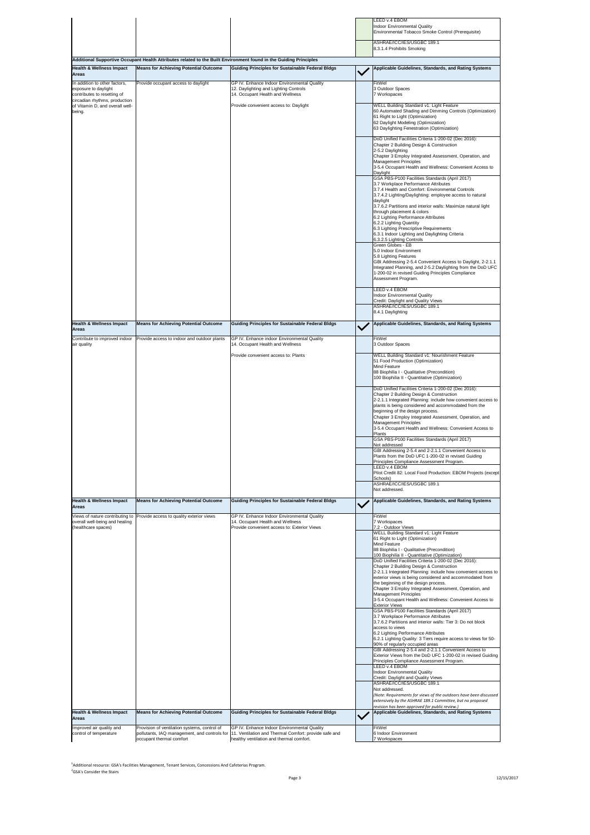control of temperature pollutants, IAQ management, and controls for occupant thermal comfort 11. Ventilation and Thermal Comfort: provide safe and healthy ventilation and thermal comfort.

|                                                                                                                       |                                                                                                                   |                                                                                                                                 |              | LEED v.4 EBOM                                                                                                                                                                                                                                                                                                                                                                                                                                                                                                                                                                                                                                                                                                                                                                                                      |
|-----------------------------------------------------------------------------------------------------------------------|-------------------------------------------------------------------------------------------------------------------|---------------------------------------------------------------------------------------------------------------------------------|--------------|--------------------------------------------------------------------------------------------------------------------------------------------------------------------------------------------------------------------------------------------------------------------------------------------------------------------------------------------------------------------------------------------------------------------------------------------------------------------------------------------------------------------------------------------------------------------------------------------------------------------------------------------------------------------------------------------------------------------------------------------------------------------------------------------------------------------|
|                                                                                                                       |                                                                                                                   |                                                                                                                                 |              | <b>Indoor Environmental Quality</b><br>Environmental Tobacco Smoke Control (Prerequisite)                                                                                                                                                                                                                                                                                                                                                                                                                                                                                                                                                                                                                                                                                                                          |
|                                                                                                                       |                                                                                                                   |                                                                                                                                 |              | ASHRAE/ICC/IES/USGBC 189.1                                                                                                                                                                                                                                                                                                                                                                                                                                                                                                                                                                                                                                                                                                                                                                                         |
|                                                                                                                       |                                                                                                                   |                                                                                                                                 |              | 8.3.1.4 Prohibits Smoking                                                                                                                                                                                                                                                                                                                                                                                                                                                                                                                                                                                                                                                                                                                                                                                          |
|                                                                                                                       | Additional Supportive Occupant Health Attributes related to the Built Environment found in the Guiding Principles |                                                                                                                                 |              |                                                                                                                                                                                                                                                                                                                                                                                                                                                                                                                                                                                                                                                                                                                                                                                                                    |
| <b>Health &amp; Wellness Impact</b><br><b>Areas</b>                                                                   | <b>Means for Achieving Potential Outcome</b>                                                                      | <b>Guiding Principles for Sustainable Federal Bldgs</b>                                                                         | $\checkmark$ | Applicable Guidelines, Standards, and Rating Systems                                                                                                                                                                                                                                                                                                                                                                                                                                                                                                                                                                                                                                                                                                                                                               |
| In addition to other factors,<br>exposure to daylight<br>contributes to resetting of<br>circadian rhythms, production | Provide occupant access to daylight                                                                               | GP IV. Enhance Indoor Environmental Quality<br>12. Daylighting and Lighting Controls<br>14. Occupant Health and Wellness        |              | FitWel<br>3 Outdoor Spaces<br>7 Workspaces                                                                                                                                                                                                                                                                                                                                                                                                                                                                                                                                                                                                                                                                                                                                                                         |
| of Vitamin D, and overall well-<br>being.                                                                             |                                                                                                                   | Provide convenient access to: Daylight                                                                                          |              | <b>WELL Building Standard v1: Light Feature</b><br>60 Automated Shading and Dimming Controls (Optimization)<br>61 Right to Light (Optimization)<br>62 Daylight Modeling (Optimization)<br>63 Daylighting Fenestration (Optimization)                                                                                                                                                                                                                                                                                                                                                                                                                                                                                                                                                                               |
|                                                                                                                       |                                                                                                                   |                                                                                                                                 |              | DoD Unified Facilities Criteria 1-200-02 (Dec 2016):<br>Chapter 2 Building Design & Construction<br>2-5.2 Daylighting<br>Chapter 3 Employ Integrated Assessment, Operation, and<br><b>Management Principles</b><br>3-5.4 Occupant Health and Wellness: Convenient Access to<br>Daylight<br>GSA PBS-P100 Facilities Standards (April 2017)<br>3.7 Workplace Performance Attributes<br>3.7.4 Health and Comfort: Environmental Controls<br>3.7.4.2 Lighting/Daylighting: employee access to natural<br>daylight<br>3.7.6.2 Partitions and interior walls: Maximize natural light<br>through placement & colors<br>6.2 Lighting Performance Attributes<br>6.2.2 Lighting Quantity<br>6.3 Lighting Prescriptive Requirements<br>6.3.1 Indoor Lighting and Daylighting Criteria<br>6.3.2.5 Lighting Controls            |
|                                                                                                                       |                                                                                                                   |                                                                                                                                 |              | Green Globes - EB<br>5.0 Indoor Environment<br>5.8 Lighting Features<br>GBI Addressing 2-5.4 Convenient Access to Daylight, 2-2.1.1<br>Integrated Planning, and 2-5.2 Daylighting from the DoD UFC<br>1-200-02 in revised Guiding Principles Compliance<br>Assessment Program.                                                                                                                                                                                                                                                                                                                                                                                                                                                                                                                                     |
|                                                                                                                       |                                                                                                                   |                                                                                                                                 |              | LEED v.4 EBOM<br><b>Indoor Environmental Quality</b><br>Credit: Daylight and Quality Views<br>ASHRAE/ICC/IES/USGBC 189.1<br>8.4.1 Daylighting                                                                                                                                                                                                                                                                                                                                                                                                                                                                                                                                                                                                                                                                      |
| <b>Health &amp; Wellness Impact</b>                                                                                   | <b>Means for Achieving Potential Outcome</b>                                                                      | <b>Guiding Principles for Sustainable Federal Bldgs</b>                                                                         |              | Applicable Guidelines, Standards, and Rating Systems                                                                                                                                                                                                                                                                                                                                                                                                                                                                                                                                                                                                                                                                                                                                                               |
| <b>Areas</b>                                                                                                          |                                                                                                                   |                                                                                                                                 | $\checkmark$ |                                                                                                                                                                                                                                                                                                                                                                                                                                                                                                                                                                                                                                                                                                                                                                                                                    |
| Contribute to improved indoor<br>air quality                                                                          | Provide access to indoor and outdoor plants                                                                       | GP IV. Enhance indoor Environmental Quality<br>14. Occupant Health and Wellness                                                 |              | FitWel<br>3 Outdoor Spaces                                                                                                                                                                                                                                                                                                                                                                                                                                                                                                                                                                                                                                                                                                                                                                                         |
|                                                                                                                       |                                                                                                                   | Provide convenient access to: Plants                                                                                            |              | <b>WELL Building Standard v1: Nourishment Feature</b><br>51 Food Production (Optimization)<br><b>Mind Feature</b>                                                                                                                                                                                                                                                                                                                                                                                                                                                                                                                                                                                                                                                                                                  |
|                                                                                                                       |                                                                                                                   |                                                                                                                                 |              | 88 Biophilia I - Qualitative (Precondition)<br>100 Biophilia II - Quantitative (Optimization)                                                                                                                                                                                                                                                                                                                                                                                                                                                                                                                                                                                                                                                                                                                      |
|                                                                                                                       |                                                                                                                   |                                                                                                                                 |              | DoD Unified Facilities Criteria 1-200-02 (Dec 2016):<br>Chapter 2 Building Design & Construction<br>2-2.1.1 Integrated Planning: include how convenient access to<br>plants is being considered and accommodated from the<br>beginning of the design process.<br>Chapter 3 Employ Integrated Assessment, Operation, and<br><b>Management Principles</b><br>3-5.4 Occupant Health and Wellness: Convenient Access to<br><b>Plants</b><br>GSA PBS-P100 Facilities Standards (April 2017)<br>Not addressed<br>GBI Addressing 2-5.4 and 2-2.1.1 Convenient Access to<br>Plants from the DoD UFC 1-200-02 in revised Guiding<br>Principles Compliance Assessment Program.<br>LEED v.4 EBOM<br>Pilot Credit 82: Local Food Production: EBOM Projects (except<br>Schools)<br>ASHRAE/ICC/IES/USGBC 189.1<br>Not addressed. |
| <b>Health &amp; Wellness Impact</b><br><b>Areas</b>                                                                   | <b>Means for Achieving Potential Outcome</b>                                                                      | <b>Guiding Principles for Sustainable Federal Bldgs</b>                                                                         |              | Applicable Guidelines, Standards, and Rating Systems                                                                                                                                                                                                                                                                                                                                                                                                                                                                                                                                                                                                                                                                                                                                                               |
| overall well-being and healing<br>(healthcare spaces)                                                                 | Views of nature contributing to Provide access to quality exterior views                                          | GP IV. Enhance Indoor Environmental Quality<br>14. Occupant Health and Wellness<br>Provide convenient access to: Exterior Views |              | FitWel<br>7 Workspaces<br>7.2 - Outdoor Views<br><b>WELL Building Standard v1: Light Feature</b><br>61 Right to Light (Optimization)<br><b>Mind Feature</b><br>88 Biophilia I - Qualitative (Precondition)<br>100 Biophilia II - Quantitative (Optimization)<br>DoD Unified Facilities Criteria 1-200-02 (Dec 2016):<br>Chapter 2 Building Design & Construction<br>2-2.1.1 Integrated Planning: include how convenient access to<br>exterior views is being considered and accommodated from                                                                                                                                                                                                                                                                                                                      |
|                                                                                                                       |                                                                                                                   |                                                                                                                                 |              | the beginning of the design process.<br>Chapter 3 Employ Integrated Assessment, Operation, and<br><b>Management Principles</b><br>3-5.4 Occupant Health and Wellness: Convenient Access to<br><b>Exterior Views</b><br>GSA PBS-P100 Facilities Standards (April 2017)                                                                                                                                                                                                                                                                                                                                                                                                                                                                                                                                              |
|                                                                                                                       |                                                                                                                   |                                                                                                                                 |              | 3.7 Workplace Performance Attributes<br>3.7.6.2 Partitions and interior walls: Tier 3: Do not block<br>access to views<br>6.2 Lighting Performance Attributes<br>6.2.1 Lighting Quality: 3 Tiers require access to views for 50-<br>90% of regularly occupied areas<br>GBI Addressing 2-5.4 and 2-2.1.1 Convenient Access to<br>Exterior Views from the DoD UFC 1-200-02 in revised Guiding<br>Principles Compliance Assessment Program.<br>LEED v.4 EBOM<br><b>Indoor Environmental Quality</b><br><b>Credit: Daylight and Quality Views</b><br>ASHRAE/ICC/IES/USGBC 189.1<br>Not addressed.<br>(Note: Requirements for views of the outdoors have been discussed                                                                                                                                                 |
|                                                                                                                       |                                                                                                                   |                                                                                                                                 |              | extensively by the ASHRAE 189.1 Committee, but no proposed<br>revision has been approved for public review.)                                                                                                                                                                                                                                                                                                                                                                                                                                                                                                                                                                                                                                                                                                       |
| <b>Health &amp; Wellness Impact</b><br><b>Areas</b>                                                                   | <b>Means for Achieving Potential Outcome</b>                                                                      | <b>Guiding Principles for Sustainable Federal Bldgs</b>                                                                         |              | <b>Applicable Guidelines, Standards, and Rating Systems</b>                                                                                                                                                                                                                                                                                                                                                                                                                                                                                                                                                                                                                                                                                                                                                        |
| Improved air quality and<br>control of tomporature                                                                    | Provision of ventilation systems, control of<br>collutante IAO monogement, and controle for                       | GP IV. Enhance Indoor Environmental Quality<br>11 Ventilation and Thermal Comfort: provide eate and                             |              | FitWel<br><b>C</b> Indoor Environmon                                                                                                                                                                                                                                                                                                                                                                                                                                                                                                                                                                                                                                                                                                                                                                               |

6 Indoor Environment 7 Workspaces

<sup>1</sup>Additional resource: GSA's Facilities Management, Tenant Services, Concessions And Cafeterias Program. <sup>2</sup>GSA's Consider the Stairs

Page 3 12/15/2017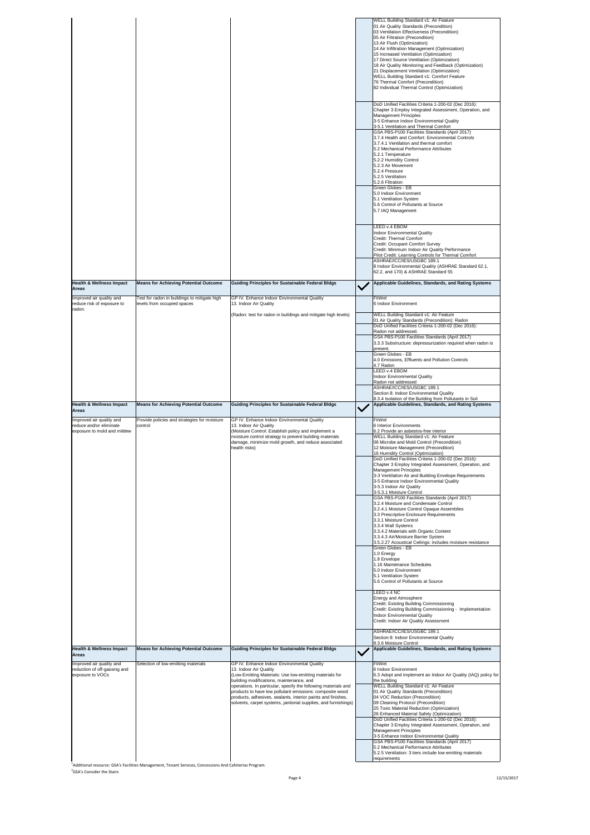|                                                                                                    |                                                         |                                                                                                                                                                                                                                                                                                                                                                      | <b>WELL Building Standard v1: Air Feature</b><br>01 Air Quality Standards (Precondition)<br>03 Ventilation Effectiveness (Precondition)<br>05 Air Filtration (Precondition)<br>13 Air Flush (Optimization)<br>14 Air Infiltration Management (Optimization)<br>15 Increased Ventilation (Optimization)<br>17 Direct Source Ventilation (Optimization)<br>18 Air Quality Monitoring and Feedback (Optimization)<br>21 Displacement Ventilation (Optimization)<br><b>WELL Building Standard v1: Comfort Feature</b><br>76 Thermal Comfort (Precondition)<br>82 Individual Thermal Control (Optimization)<br>DoD Unified Facilities Criteria 1-200-02 (Dec 2016):<br>Chapter 3 Employ Integrated Assessment, Operation, and<br><b>Management Principles</b><br>3-5 Enhance Indoor Environmental Quality<br>3-5.1 Ventilation and Thermal Comfort<br>GSA PBS-P100 Facilities Standards (April 2017)<br>3.7.4 Health and Comfort: Environmental Controls<br>3.7.4.1 Ventilation and thermal comfort<br>5.2 Mechanical Performance Attributes<br>5.2.1 Temperature<br>5.2.2 Humidity Control<br>5.2.3 Air Movement<br>5.2.4 Pressure<br>5.2.5 Ventilation<br>5.2.6 Filtration<br><b>Green Globes - EB</b> |
|----------------------------------------------------------------------------------------------------|---------------------------------------------------------|----------------------------------------------------------------------------------------------------------------------------------------------------------------------------------------------------------------------------------------------------------------------------------------------------------------------------------------------------------------------|-----------------------------------------------------------------------------------------------------------------------------------------------------------------------------------------------------------------------------------------------------------------------------------------------------------------------------------------------------------------------------------------------------------------------------------------------------------------------------------------------------------------------------------------------------------------------------------------------------------------------------------------------------------------------------------------------------------------------------------------------------------------------------------------------------------------------------------------------------------------------------------------------------------------------------------------------------------------------------------------------------------------------------------------------------------------------------------------------------------------------------------------------------------------------------------------------------|
|                                                                                                    |                                                         |                                                                                                                                                                                                                                                                                                                                                                      | 5.0 Indoor Environment<br>5.1 Ventilation System<br>5.6 Control of Pollutants at Source<br>5.7 IAQ Management<br>LEED v.4 EBOM                                                                                                                                                                                                                                                                                                                                                                                                                                                                                                                                                                                                                                                                                                                                                                                                                                                                                                                                                                                                                                                                      |
|                                                                                                    |                                                         |                                                                                                                                                                                                                                                                                                                                                                      | <b>Indoor Environmental Quality</b><br><b>Credit: Thermal Comfort</b><br><b>Credit: Occupant Comfort Survey</b><br>Credit: Minimum Indoor Air Quality Performance<br>Pilot Credit: Learning Controls for Thermal Comfort<br>ASHRAE/ICC/IES/USGBC 189.1<br>8 Indoor Environmental Quality (ASHRAE Standard 62.1,                                                                                                                                                                                                                                                                                                                                                                                                                                                                                                                                                                                                                                                                                                                                                                                                                                                                                     |
| <b>Health &amp; Wellness Impact</b>                                                                | <b>Means for Achieving Potential Outcome</b>            | <b>Guiding Principles for Sustainable Federal Bldgs</b>                                                                                                                                                                                                                                                                                                              | 62.2, and 170) & ASHRAE Standard 55<br><b>Applicable Guidelines, Standards, and Rating Systems</b>                                                                                                                                                                                                                                                                                                                                                                                                                                                                                                                                                                                                                                                                                                                                                                                                                                                                                                                                                                                                                                                                                                  |
| <b>Areas</b><br>Improved air quality and                                                           | Test for radon in buildings to mitigate high            | GP IV. Enhance Indoor Environmental Quality                                                                                                                                                                                                                                                                                                                          | FitWel                                                                                                                                                                                                                                                                                                                                                                                                                                                                                                                                                                                                                                                                                                                                                                                                                                                                                                                                                                                                                                                                                                                                                                                              |
| reduce risk of exposure to<br>radon.                                                               | levels from occupied spaces                             | 13. Indoor Air Quality<br>(Radon: test for radon in buildings and mitigate high levels)                                                                                                                                                                                                                                                                              | 6 Indoor Environment<br><b>WELL Building Standard v1: Air Feature</b>                                                                                                                                                                                                                                                                                                                                                                                                                                                                                                                                                                                                                                                                                                                                                                                                                                                                                                                                                                                                                                                                                                                               |
|                                                                                                    |                                                         |                                                                                                                                                                                                                                                                                                                                                                      | 01 Air Quality Standards (Precondition): Radon<br>DoD Unified Facilities Criteria 1-200-02 (Dec 2016):                                                                                                                                                                                                                                                                                                                                                                                                                                                                                                                                                                                                                                                                                                                                                                                                                                                                                                                                                                                                                                                                                              |
|                                                                                                    |                                                         |                                                                                                                                                                                                                                                                                                                                                                      | Radon not addressed.<br>GSA PBS-P100 Facilities Standards (April 2017)<br>3.3.3 Substructure: depressurization required when radon is                                                                                                                                                                                                                                                                                                                                                                                                                                                                                                                                                                                                                                                                                                                                                                                                                                                                                                                                                                                                                                                               |
|                                                                                                    |                                                         |                                                                                                                                                                                                                                                                                                                                                                      | present.<br>Green Globes - EB                                                                                                                                                                                                                                                                                                                                                                                                                                                                                                                                                                                                                                                                                                                                                                                                                                                                                                                                                                                                                                                                                                                                                                       |
|                                                                                                    |                                                         |                                                                                                                                                                                                                                                                                                                                                                      | 4.0 Emissions, Effluents and Pollution Controls<br>4.7 Radon                                                                                                                                                                                                                                                                                                                                                                                                                                                                                                                                                                                                                                                                                                                                                                                                                                                                                                                                                                                                                                                                                                                                        |
|                                                                                                    |                                                         |                                                                                                                                                                                                                                                                                                                                                                      | LEED v.4 EBOM<br><b>Indoor Environmental Quality</b><br>Radon not addressed                                                                                                                                                                                                                                                                                                                                                                                                                                                                                                                                                                                                                                                                                                                                                                                                                                                                                                                                                                                                                                                                                                                         |
|                                                                                                    |                                                         |                                                                                                                                                                                                                                                                                                                                                                      | ASHRAE/ICC/IES/USGBC 189.1<br>Section 8: Indoor Environmental Quality                                                                                                                                                                                                                                                                                                                                                                                                                                                                                                                                                                                                                                                                                                                                                                                                                                                                                                                                                                                                                                                                                                                               |
| <b>Health &amp; Wellness Impact</b>                                                                | Means for Achieving Potential Outcome                   | <b>Guiding Principles for Sustainable Federal Bldgs</b>                                                                                                                                                                                                                                                                                                              | 8.3.4 Isolation of the Building from Pollutants in Soil<br>Applicable Guidelines, Standards, and Rating Systems                                                                                                                                                                                                                                                                                                                                                                                                                                                                                                                                                                                                                                                                                                                                                                                                                                                                                                                                                                                                                                                                                     |
| <b>Areas</b><br>Improved air quality and<br>reduce and/or eliminate<br>exposure to mold and mildew | Provide policies and strategies for moisture<br>control | GP IV. Enhance Indoor Environmental Quality<br>13. Indoor Air Quality<br>(Moisture Control: Establish policy and implement a<br>moisture control strategy to prevent building materials<br>damage, minimize mold growth, and reduce associated<br>health risks)                                                                                                      | FitWel<br>6 Interior Environments<br>6.2 Provide an asbestos-free interior<br>WELL Building Standard v1: Air Feature<br>06 Microbe and Mold Control (Precondition)<br>12 Moisture Management (Precondition)<br>16 Humidity Control (Optimization)<br>DoD Unified Facilities Criteria 1-200-02 (Dec 2016):<br>Chapter 3 Employ Integrated Assessment, Operation, and                                                                                                                                                                                                                                                                                                                                                                                                                                                                                                                                                                                                                                                                                                                                                                                                                                 |
|                                                                                                    |                                                         |                                                                                                                                                                                                                                                                                                                                                                      | <b>Management Principles</b><br>3-3 Ventilation Air and Building Envelope Requirements<br>3-5 Enhance Indoor Environmental Quality<br>3-5.3 Indoor Air Quality<br>3-5.3.1 Moisture Control                                                                                                                                                                                                                                                                                                                                                                                                                                                                                                                                                                                                                                                                                                                                                                                                                                                                                                                                                                                                          |
|                                                                                                    |                                                         |                                                                                                                                                                                                                                                                                                                                                                      | GSA PBS-P100 Facilities Standards (April 2017)<br>3.2.4 Moisture and Condensate Control<br>3.2.4.1 Moisture Control Opaque Assemblies<br>3.3 Prescriptive Enclosure Requirements<br>3.3.1 Moisture Control<br>3.3.4 Wall Systems<br>3.3.4.2 Materials with Organic Content<br>3.3.4.3 Air/Moisture Barrier System<br>3.5.2.27 Acoustical Ceilings: includes moisture resistance                                                                                                                                                                                                                                                                                                                                                                                                                                                                                                                                                                                                                                                                                                                                                                                                                     |
|                                                                                                    |                                                         |                                                                                                                                                                                                                                                                                                                                                                      | <b>Green Globes - EB</b><br>1.0 Energy<br>1.8 Envelope<br>1.16 Maintenance Schedules<br>5.0 Indoor Environment<br>5.1 Ventilation System<br>5.6 Control of Pollutants at Source<br>LEED v.4 NC                                                                                                                                                                                                                                                                                                                                                                                                                                                                                                                                                                                                                                                                                                                                                                                                                                                                                                                                                                                                      |
|                                                                                                    |                                                         |                                                                                                                                                                                                                                                                                                                                                                      | <b>Energy and Atmosphere</b><br>Credit: Existing Building Commissioning<br>Credit: Existing Building Commissioning - Implementation<br><b>Indoor Environmental Quality</b><br>Credit: Indoor Air Quality Assessment<br>ASHRAE/ICC/IES/USGBC 189.1                                                                                                                                                                                                                                                                                                                                                                                                                                                                                                                                                                                                                                                                                                                                                                                                                                                                                                                                                   |
| <b>Health &amp; Wellness Impact</b><br><b>Areas</b>                                                | <b>Means for Achieving Potential Outcome</b>            | <b>Guiding Principles for Sustainable Federal Bldgs</b>                                                                                                                                                                                                                                                                                                              | Section 8: Indoor Environmental Quality<br>8.3.6 Moisture Control<br>Applicable Guidelines, Standards, and Rating Systems                                                                                                                                                                                                                                                                                                                                                                                                                                                                                                                                                                                                                                                                                                                                                                                                                                                                                                                                                                                                                                                                           |
| Improved air quality and<br>reduction of off-gassing and                                           | Selection of low-emitting materials                     | GP IV. Enhance Indoor Environmental Quality<br>13. Indoor Air Quality                                                                                                                                                                                                                                                                                                | FitWel<br>6 Indoor Environment                                                                                                                                                                                                                                                                                                                                                                                                                                                                                                                                                                                                                                                                                                                                                                                                                                                                                                                                                                                                                                                                                                                                                                      |
| exposure to VOCs                                                                                   |                                                         | (Low-Emitting Materials: Use low-emitting materials for<br>building modifications, maintenance, and<br>operations. In particular, specify the following materials and<br>products to have low pollutant emissions: composite wood<br>products, adhesives, sealants, interior paints and finishes,<br>solvents, carpet systems, janitorial supplies, and furnishings) | 6.3 Adopt and implement an Indoor Air Quality (IAQ) policy for<br>the building<br><b>WELL Building Standard v1: Air Feature</b><br>01 Air Quality Standards (Precondition)<br>04 VOC Reduction (Precondition)<br>09 Cleaning Protocol (Precondition)<br>25 Toxic Material Reduction (Optimization)<br>26 Enhanced Material Safety (Optimization)<br>DoD Unified Facilities Criteria 1-200-02 (Dec 2016):                                                                                                                                                                                                                                                                                                                                                                                                                                                                                                                                                                                                                                                                                                                                                                                            |
|                                                                                                    |                                                         |                                                                                                                                                                                                                                                                                                                                                                      | Chapter 3 Employ Integrated Assessment, Operation, and<br><i>Annonomont</i> Drinoiples                                                                                                                                                                                                                                                                                                                                                                                                                                                                                                                                                                                                                                                                                                                                                                                                                                                                                                                                                                                                                                                                                                              |

Management Principles 3-5 Enhance Indoor Environmental Quality GSA PBS-P100 Facilities Standards (April 2017) 5.2 Mechanical Performance Attributes 5.2.5 Ventilation: 3 tiers include low emitting materials requirements

Page 4 12/15/2017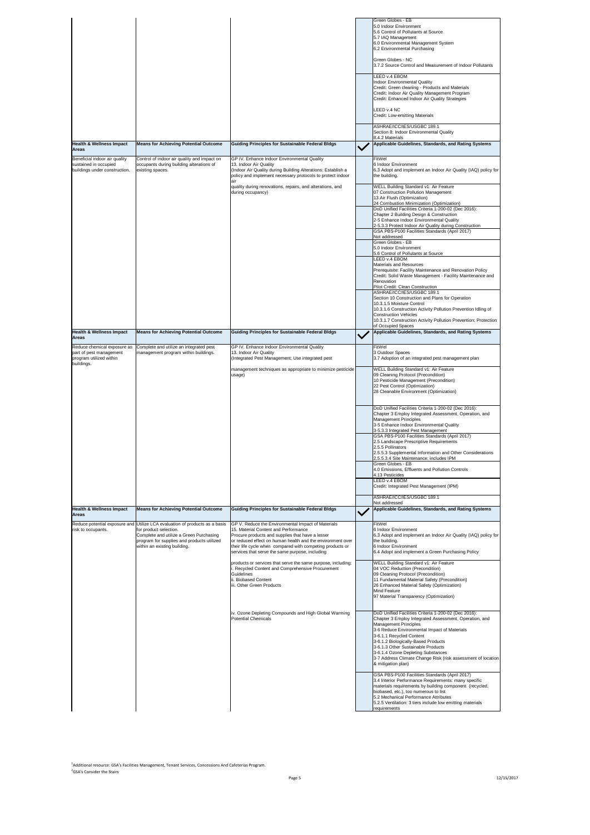|                                                                                                 |                                                                                                                                                                                                                                |                                                                                                                                                                                                                                                                                                                              | <b>Green Globes - EB</b><br>5.0 Indoor Environment<br>5.6 Control of Pollutants at Source<br>5.7 IAQ Management<br>6.0 Environmental Management System<br>6.2 Environmental Purchasing<br><b>Green Globes - NC</b><br>3.7.2 Source Control and Measurement of Indoor Pollutants<br>LEED v.4 EBOM<br>Indoor Environmental Quality<br>Credit: Green cleaning - Products and Materials<br>Credit: Indoor Air Quality Management Program<br>Credit: Enhanced Indoor Air Quality Strategies<br>LEED v.4 NC<br>Credit: Low-emitting Materials    |
|-------------------------------------------------------------------------------------------------|--------------------------------------------------------------------------------------------------------------------------------------------------------------------------------------------------------------------------------|------------------------------------------------------------------------------------------------------------------------------------------------------------------------------------------------------------------------------------------------------------------------------------------------------------------------------|--------------------------------------------------------------------------------------------------------------------------------------------------------------------------------------------------------------------------------------------------------------------------------------------------------------------------------------------------------------------------------------------------------------------------------------------------------------------------------------------------------------------------------------------|
|                                                                                                 |                                                                                                                                                                                                                                |                                                                                                                                                                                                                                                                                                                              | ASHRAE/ICC/IES/USGBC 189.1<br>Section 8: Indoor Environmental Quality                                                                                                                                                                                                                                                                                                                                                                                                                                                                      |
| <b>Health &amp; Wellness Impact</b><br><b>Areas</b>                                             | <b>Means for Achieving Potential Outcome</b>                                                                                                                                                                                   | <b>Guiding Principles for Sustainable Federal Bldgs</b>                                                                                                                                                                                                                                                                      | 8.4.2 Materials<br>Applicable Guidelines, Standards, and Rating Systems                                                                                                                                                                                                                                                                                                                                                                                                                                                                    |
| Beneficial indoor air quality<br>sustained in occupied<br>buildings under construction.         | Control of indoor air quality and impact on<br>occupants during building alterations of<br>existing spaces.                                                                                                                    | GP IV. Enhance Indoor Environmental Quality<br>13. Indoor Air Quality<br>(Indoor Air Quality during Building Alterations: Establish a<br>policy and implement necessary protocols to protect indoor                                                                                                                          | FitWel<br>6 Indoor Environment<br>6.3 Adopt and implement an Indoor Air Quality (IAQ) policy for<br>the building.                                                                                                                                                                                                                                                                                                                                                                                                                          |
|                                                                                                 |                                                                                                                                                                                                                                | quality during renovations, repairs, and alterations, and<br>during occupancy)                                                                                                                                                                                                                                               | <b>WELL Building Standard v1: Air Feature</b><br>07 Construction Pollution Management<br>13 Air Flush (Optimization)<br>24 Combustion Minimization (Optimization)<br>DoD Unified Facilities Criteria 1-200-02 (Dec 2016):<br>Chapter 2 Building Design & Construction<br>2-5 Enhance Indoor Environmental Quality<br>2-5.3.3 Protect Indoor Air Quality during Construction<br>GSA PBS-P100 Facilities Standards (April 2017)                                                                                                              |
|                                                                                                 |                                                                                                                                                                                                                                |                                                                                                                                                                                                                                                                                                                              | Not addressed<br>Green Globes - EB<br>5.0 Indoor Environment<br>5.6 Control of Pollutants at Source<br>LEED v.4 EBOM<br><b>Materials and Resources</b><br>Prerequisite: Facility Maintenance and Renovation Policy<br>Credit: Solid Waste Management - Facility Maintenance and<br>Renovation<br>Pilot Credit: Clean Construction                                                                                                                                                                                                          |
|                                                                                                 |                                                                                                                                                                                                                                |                                                                                                                                                                                                                                                                                                                              | ASHRAE/ICC/IES/USGBC 189.1<br>Section 10 Construction and Plans for Operation<br>10.3.1.5 Moisture Control<br>10.3.1.6 Construction Activity Pollution Prevention Idling of<br><b>Construction Vehicles</b><br>10.3.1.7 Construction Activity Pollution Prevention: Protection<br>of Occupied Spaces                                                                                                                                                                                                                                       |
| <b>Health &amp; Wellness Impact</b><br><b>Areas</b>                                             | <b>Means for Achieving Potential Outcome</b>                                                                                                                                                                                   | <b>Guiding Principles for Sustainable Federal Bldgs</b>                                                                                                                                                                                                                                                                      | <b>Applicable Guidelines, Standards, and Rating Systems</b>                                                                                                                                                                                                                                                                                                                                                                                                                                                                                |
| Reduce chemical exposure as<br>part of pest management<br>program utilized within<br>buildings. | Complete and utilize an integrated pest<br>management program within buildings.                                                                                                                                                | GP IV. Enhance Indoor Environmental Quality<br>13. Indoor Air Quality<br>(Integrated Pest Management: Use integrated pest                                                                                                                                                                                                    | FitWel<br>3 Outdoor Spaces<br>3.7 Adoption of an integrated pest management plan                                                                                                                                                                                                                                                                                                                                                                                                                                                           |
|                                                                                                 |                                                                                                                                                                                                                                | management techniques as appropriate to minimize pesticide<br>usage)                                                                                                                                                                                                                                                         | <b>WELL Building Standard v1: Air Feature</b><br>09 Cleaning Protocol (Precondition)<br>10 Pesticide Management (Precondition)<br>22 Pest Control (Optimization)<br>28 Cleanable Environment (Optimization)                                                                                                                                                                                                                                                                                                                                |
|                                                                                                 |                                                                                                                                                                                                                                |                                                                                                                                                                                                                                                                                                                              | DoD Unified Facilities Criteria 1-200-02 (Dec 2016):<br>Chapter 3 Employ Integrated Assessment, Operation, and<br>Management Principles<br>3-5 Enhance Indoor Environmental Quality<br>3-5.3.3 Integrated Pest Management<br><b>GSA PBS-P100 Facilities Standards (April 2017)</b><br>2.5 Landscape Prescriptive Requirements<br>2.5.5 Pollinators<br>2.5.5.3 Supplemental Information and Other Considerations<br>2.5.5.3.4 Site Maintenance: includes IPM<br><b>Green Globes - EB</b><br>4.0 Emissions, Effluents and Pollution Controls |
|                                                                                                 |                                                                                                                                                                                                                                |                                                                                                                                                                                                                                                                                                                              | 4.13 Pesticides<br>LEED v.4 EBOM<br>Credit: Integrated Pest Management (IPM)                                                                                                                                                                                                                                                                                                                                                                                                                                                               |
|                                                                                                 |                                                                                                                                                                                                                                |                                                                                                                                                                                                                                                                                                                              | ASHRAE/ICC/IES/USGBC 189.1<br>Not addressed                                                                                                                                                                                                                                                                                                                                                                                                                                                                                                |
| <b>Health &amp; Wellness Impact</b><br><b>Areas</b>                                             | <b>Means for Achieving Potential Outcome</b>                                                                                                                                                                                   | <b>Guiding Principles for Sustainable Federal Bldgs</b>                                                                                                                                                                                                                                                                      | <b>Applicable Guidelines, Standards, and Rating Systems</b>                                                                                                                                                                                                                                                                                                                                                                                                                                                                                |
| risk to occupants.                                                                              | Reduce potential exposure and Utilize LCA evaluation of products as a basis<br>for product selection.<br>Complete and utilize a Green Purchasing<br>program for supplies and products utilized<br>within an existing building. | GP V. Reduce the Environmental Impact of Materials<br>15. Material Content and Performance<br>Procure products and supplies that have a lesser<br>or reduced effect on human health and the environment over<br>their life cycle when compared with competing products or<br>services that serve the same purpose, including | FitWel<br>6 Indoor Environment<br>6.3 Adopt and implement an Indoor Air Quality (IAQ) policy for<br>the building.<br>6 Indoor Environment<br>6.4 Adopt and implement a Green Purchasing Policy                                                                                                                                                                                                                                                                                                                                             |
|                                                                                                 |                                                                                                                                                                                                                                | products or services that serve the same purpose, including:<br>Recycled Content and Comprehensive Procurement<br><b>Guidelines</b><br>ii. Biobased Content<br>iii. Other Green Products                                                                                                                                     | <b>WELL Building Standard v1: Air Feature</b><br>04 VOC Reduction (Precondition)<br>09 Cleaning Protocol (Precondition)<br>11 Fundamental Material Safety (Precondition)<br>26 Enhanced Material Safety (Optimization)<br>Mind Feature<br>97 Material Transparency (Optimization)                                                                                                                                                                                                                                                          |
|                                                                                                 |                                                                                                                                                                                                                                | iv. Ozone Depleting Compounds and High Global Warming<br><b>Potential Chemicals</b>                                                                                                                                                                                                                                          | DoD Unified Facilities Criteria 1-200-02 (Dec 2016):<br>Chapter 3 Employ Integrated Assessment, Operation, and<br><b>Management Principles</b><br>3-6 Reduce Environmental Impact of Materials<br>3-6.1.1 Recycled Content<br>3-6.1.2 Biologically-Based Products<br>3-6.1.3 Other Sustainable Products<br>3-6.1.4 Ozone Depleting Substances<br>3-7 Address Climate Change Risk (risk assessment of location<br>8 mitigation plan)<br><b>GSA PBS-P100 Facilities Standards (April 2017)</b>                                               |
|                                                                                                 |                                                                                                                                                                                                                                |                                                                                                                                                                                                                                                                                                                              | 3.4 Interior Performance Requirements: many specific<br>materials requirements by building component (recycled,<br>biobased, etc.), too numerous to list<br>5.2 Mechanical Performance Attributes<br>5.2.5 Ventilation: 3 tiers include low emitting materials<br>requirements                                                                                                                                                                                                                                                             |

Page 5 12/15/2017